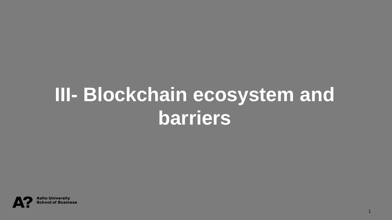## **III- Blockchain ecosystem and barriers**

1

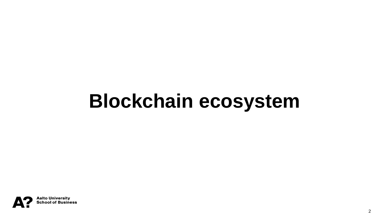## **Blockchain ecosystem**

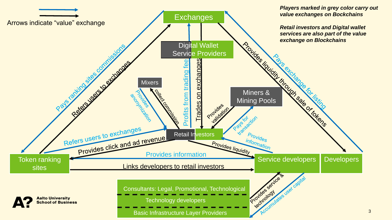